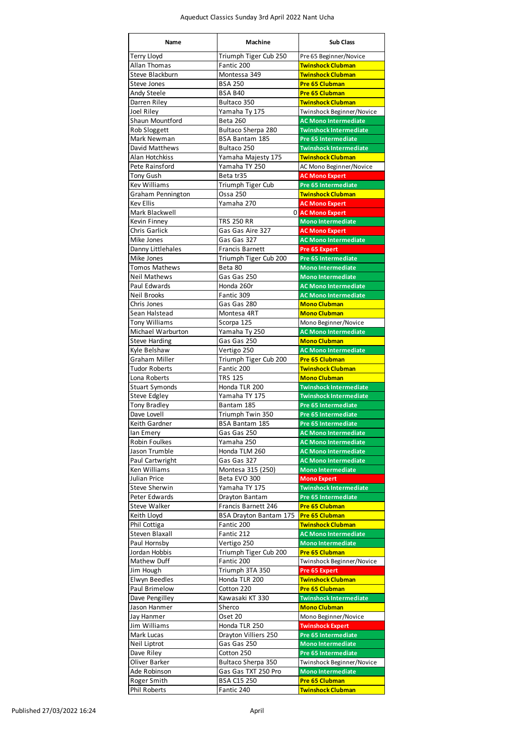| <b>Name</b>                           | <b>Machine</b>                        | <b>Sub Class</b>                                           |
|---------------------------------------|---------------------------------------|------------------------------------------------------------|
| <b>Terry Lloyd</b>                    | Triumph Tiger Cub 250                 | Pre 65 Beginner/Novice                                     |
| <b>Allan Thomas</b>                   | Fantic 200                            | <b>Twinshock Clubman</b>                                   |
| Steve Blackburn                       | Montessa 349                          | <b>Twinshock Clubman</b>                                   |
| <b>Steve Jones</b><br>Andy Steele     | <b>BSA 250</b><br><b>BSA B40</b>      | <b>Pre 65 Clubman</b><br><b>Pre 65 Clubman</b>             |
| Darren Riley                          | Bultaco 350                           | <b>Twinshock Clubman</b>                                   |
| Joel Riley                            | Yamaha Ty 175                         | Twinshock Beginner/Novice                                  |
| Shaun Mountford                       | <b>Beta 260</b>                       | <b>AC Mono Intermediate</b>                                |
| Rob Sloggett                          | Bultaco Sherpa 280                    | <b>Twinshock Intermediate</b>                              |
| Mark Newman                           | <b>BSA Bantam 185</b>                 | <b>Pre 65 Intermediate</b>                                 |
| David Matthews                        | Bultaco 250                           | <b>Twinshock Intermediate</b><br><b>Twinshock Clubman</b>  |
| Alan Hotchkiss<br>Pete Rainsford      | Yamaha Majesty 175<br>Yamaha TY 250   | AC Mono Beginner/Novice                                    |
| Tony Gush                             | Beta tr35                             | <b>AC Mono Expert</b>                                      |
| <b>Kev Williams</b>                   | Triumph Tiger Cub                     | <b>Pre 65 Intermediate</b>                                 |
| Graham Pennington                     | Ossa 250                              | <b>Twinshock Clubman</b>                                   |
| <b>Kev Ellis</b>                      | Yamaha 270                            | <b>AC Mono Expert</b>                                      |
| Mark Blackwell                        | 0                                     | <b>AC Mono Expert</b>                                      |
| Kevin Finney<br><b>Chris Garlick</b>  | <b>TRS 250 RR</b><br>Gas Gas Aire 327 | <b>Mono Intermediate</b><br><b>AC Mono Expert</b>          |
| Mike Jones                            | Gas Gas 327                           | <b>AC Mono Intermediate</b>                                |
| Danny Littlehales                     | <b>Francis Barnett</b>                | <b>Pre 65 Expert</b>                                       |
| Mike Jones                            | Triumph Tiger Cub 200                 | Pre 65 Intermediate                                        |
| <b>Tomos Mathews</b>                  | Beta 80                               | <b>Mono Intermediate</b>                                   |
| <b>Neil Mathews</b>                   | Gas Gas 250                           | <b>Mono Intermediate</b>                                   |
| Paul Edwards<br><b>Neil Brooks</b>    | Honda 260r<br>Fantic 309              | <b>AC Mono Intermediate</b><br><b>AC Mono Intermediate</b> |
| Chris Jones                           | Gas Gas 280                           | <b>Mono Clubman</b>                                        |
| Sean Halstead                         | Montesa 4RT                           | <b>Mono Clubman</b>                                        |
| Tony Williams                         | Scorpa 125                            | Mono Beginner/Novice                                       |
| Michael Warburton                     | Yamaha Ty 250                         | <b>AC Mono Intermediate</b>                                |
| <b>Steve Harding</b>                  | Gas Gas 250                           | <b>Mono Clubman</b>                                        |
| Kyle Belshaw<br>Graham Miller         | Vertigo 250                           | <b>AC Mono Intermediate</b>                                |
| <b>Tudor Roberts</b>                  | Triumph Tiger Cub 200<br>Fantic 200   | <b>Pre 65 Clubman</b><br><b>Twinshock Clubman</b>          |
| Lona Roberts                          | <b>TRS 125</b>                        | <b>Mono Clubman</b>                                        |
| <b>Stuart Symonds</b>                 | Honda TLR 200                         | <b>Twinshock Intermediate</b>                              |
| Steve Edgley                          | Yamaha TY 175                         | <b>Twinshock Intermediate</b>                              |
| Tony Bradley                          | Bantam 185                            | <b>Pre 65 Intermediate</b>                                 |
| Dave Lovell                           | Triumph Twin 350                      | <b>Pre 65 Intermediate</b>                                 |
| Keith Gardner<br>lan Emery            | <b>BSA Bantam 185</b><br>Gas Gas 250  | <b>Pre 65 Intermediate</b><br><b>AC Mono Intermediate</b>  |
| <b>Robin Foulkes</b>                  | Yamaha 250                            | <b>AC Mono Intermediate</b>                                |
| Jason Trumble                         | Honda TLM 260                         | <b>AC Mono Intermediate</b>                                |
| Paul Cartwright                       | Gas Gas 327                           | <b>AC Mono Intermediate</b>                                |
| <b>Ken Williams</b>                   | Montesa 315 (250)                     | <b>Mono Intermediate</b>                                   |
| <b>Julian Price</b>                   | Beta EVO 300                          | <b>Mono Expert</b>                                         |
| <b>Steve Sherwin</b><br>Peter Edwards | Yamaha TY 175<br>Drayton Bantam       | <b>Twinshock Intermediate</b><br>Pre 65 Intermediate       |
| <b>Steve Walker</b>                   | Francis Barnett 246                   | <b>Pre 65 Clubman</b>                                      |
| Keith Lloyd                           | <b>BSA Drayton Bantam 175</b>         | <b>Pre 65 Clubman</b>                                      |
| Phil Cottiga                          | Fantic 200                            | <b>Twinshock Clubman</b>                                   |
| <b>Steven Blaxall</b>                 | Fantic 212                            | <b>AC Mono Intermediate</b>                                |
| Paul Hornsby                          | Vertigo 250                           | <b>Mono Intermediate</b>                                   |
| Jordan Hobbis<br>Mathew Duff          | Triumph Tiger Cub 200<br>Fantic 200   | <b>Pre 65 Clubman</b><br>Twinshock Beginner/Novice         |
| Jim Hough                             | Triumph 3TA 350                       | Pre 65 Expert                                              |
| Elwyn Beedles                         | Honda TLR 200                         | <b>Twinshock Clubman</b>                                   |
| Paul Brimelow                         | Cotton 220                            | <b>Pre 65 Clubman</b>                                      |
| Dave Pengilley                        | Kawasaki KT 330                       | <b>Twinshock Intermediate</b>                              |
| Jason Hanmer                          | Sherco                                | <b>Mono Clubman</b>                                        |
| Jay Hanmer                            | Oset 20<br>Honda TLR 250              | Mono Beginner/Novice                                       |
| Jim Williams<br>Mark Lucas            | Drayton Villiers 250                  | <b>Twinshock Expert</b><br><b>Pre 65 Intermediate</b>      |
| Neil Liptrot                          | Gas Gas 250                           | <b>Mono Intermediate</b>                                   |
| Dave Riley                            | Cotton 250                            | Pre 65 Intermediate                                        |
| Oliver Barker                         | Bultaco Sherpa 350                    | Twinshock Beginner/Novice                                  |
| Ade Robinson                          | Gas Gas TXT 250 Pro                   | <b>Mono Intermediate</b>                                   |
| Roger Smith                           | <b>BSA C15 250</b>                    | <b>Pre 65 Clubman</b>                                      |
| Phil Roberts                          | Fantic 240                            | <b>Twinshock Clubman</b>                                   |